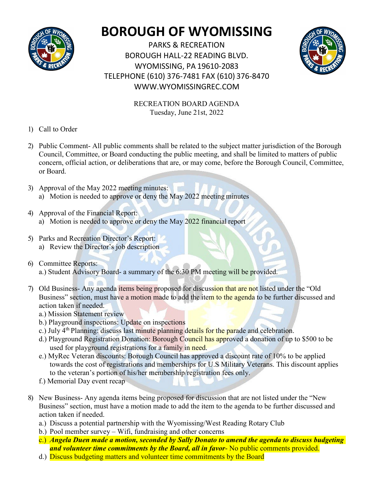

## **BOROUGH OF WYOMISSING**

PARKS & RECREATION BOROUGH HALL-22 READING BLVD. WYOMISSING, PA 19610-2083 TELEPHONE (610) 376-7481 FAX (610) 376-8470 [WWW.WYOMISSINGREC.COM](http://www.wyomissingrec.com/)



RECREATION BOARD AGENDA Tuesday, June 21st, 2022

- 1) Call to Order
- 2) Public Comment- All public comments shall be related to the subject matter jurisdiction of the Borough Council, Committee, or Board conducting the public meeting, and shall be limited to matters of public concern, official action, or deliberations that are, or may come, before the Borough Council, Committee, or Board.
- 3) Approval of the May 2022 meeting minutes: a) Motion is needed to approve or deny the May 2022 meeting minutes
- 4) Approval of the Financial Report: a) Motion is needed to approve or deny the May 2022 financial report
- 5) Parks and Recreation Director's Report: a) Review the Director's job description
- 6) Committee Reports: a.) Student Advisory Board- a summary of the 6:30 PM meeting will be provided.
- 7) Old Business- Any agenda items being proposed for discussion that are not listed under the "Old Business" section, must have a motion made to add the item to the agenda to be further discussed and action taken if needed.
	- a.) Mission Statement review
	- b.) Playground inspections: Update on inspections
	- c.) July 4<sup>th</sup> Planning: discuss last minute planning details for the parade and celebration.
	- d.) Playground Registration Donation: Borough Council has approved a donation of up to \$500 to be used for playground registrations for a family in need.
	- e.) MyRec Veteran discounts: Borough Council has approved a discount rate of 10% to be applied towards the cost of registrations and memberships for U.S Military Veterans. This discount applies to the veteran's portion of his/her membership/registration fees only.
	- f.) Memorial Day event recap
- 8) New Business- Any agenda items being proposed for discussion that are not listed under the "New Business" section, must have a motion made to add the item to the agenda to be further discussed and action taken if needed.
	- a.) Discuss a potential partnership with the Wyomissing/West Reading Rotary Club
	- b.) Pool member survey Wifi, fundraising and other concerns
	- c.) *Angela Duen made a motion, seconded by Sally Donato to amend the agenda to discuss budgeting and volunteer time commitments by the Board, all in favor*- No public comments provided.
	- d.) Discuss budgeting matters and volunteer time commitments by the Board